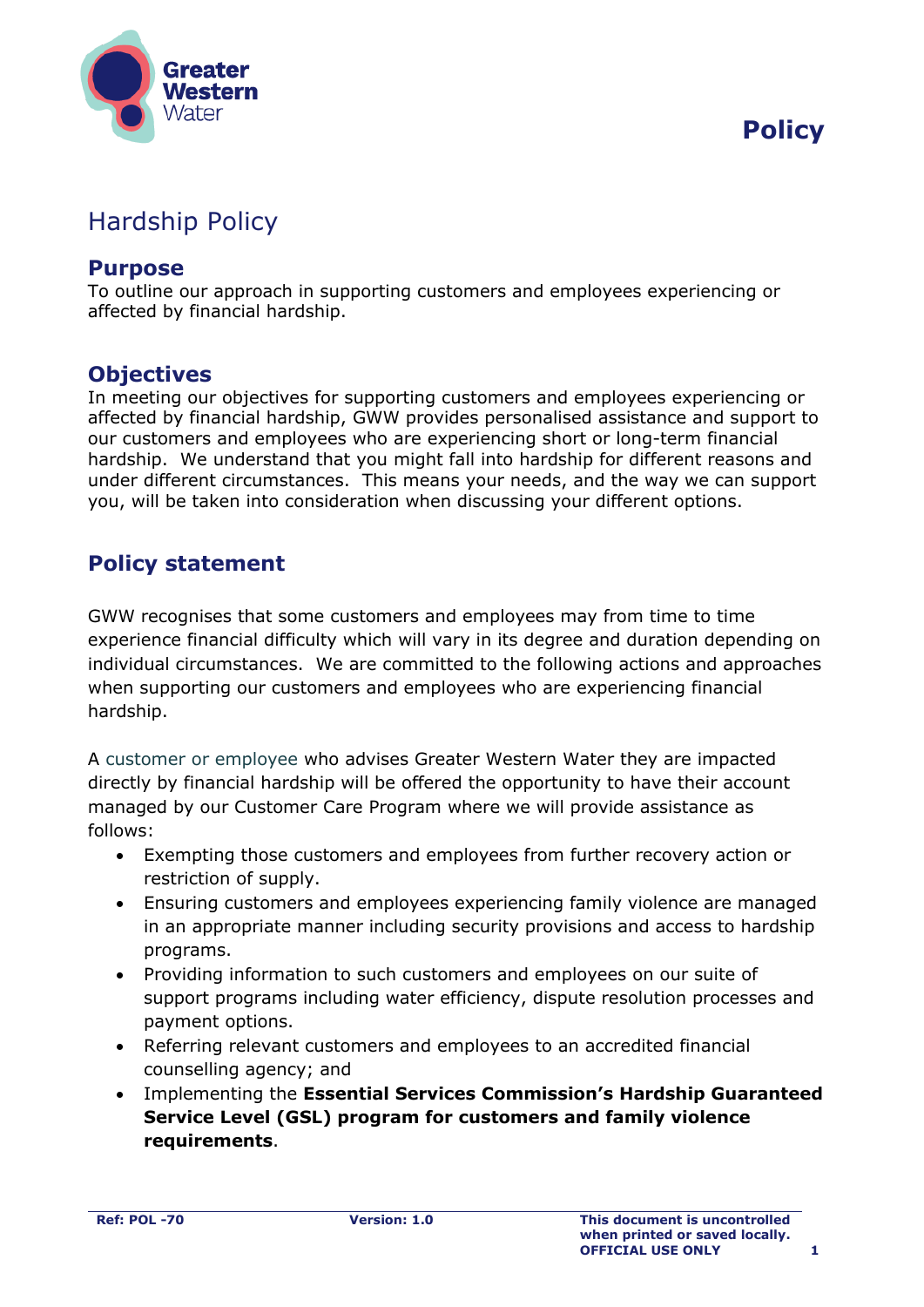

## Hardship Policy

#### **Purpose**

To outline our approach in supporting customers and employees experiencing or affected by financial hardship.

### **Objectives**

In meeting our objectives for supporting customers and employees experiencing or affected by financial hardship, GWW provides personalised assistance and support to our customers and employees who are experiencing short or long-term financial hardship. We understand that you might fall into hardship for different reasons and under different circumstances. This means your needs, and the way we can support you, will be taken into consideration when discussing your different options.

## **Policy statement**

GWW recognises that some customers and employees may from time to time experience financial difficulty which will vary in its degree and duration depending on individual circumstances. We are committed to the following actions and approaches when supporting our customers and employees who are experiencing financial hardship.

A customer or employee who advises Greater Western Water they are impacted directly by financial hardship will be offered the opportunity to have their account managed by our Customer Care Program where we will provide assistance as follows:

- Exempting those customers and employees from further recovery action or restriction of supply.
- Ensuring customers and employees experiencing family violence are managed in an appropriate manner including security provisions and access to hardship programs.
- Providing information to such customers and employees on our suite of support programs including water efficiency, dispute resolution processes and payment options.
- Referring relevant customers and employees to an accredited financial counselling agency; and
- Implementing the **Essential Services Commission's Hardship Guaranteed Service Level (GSL) program for customers and family violence requirements**.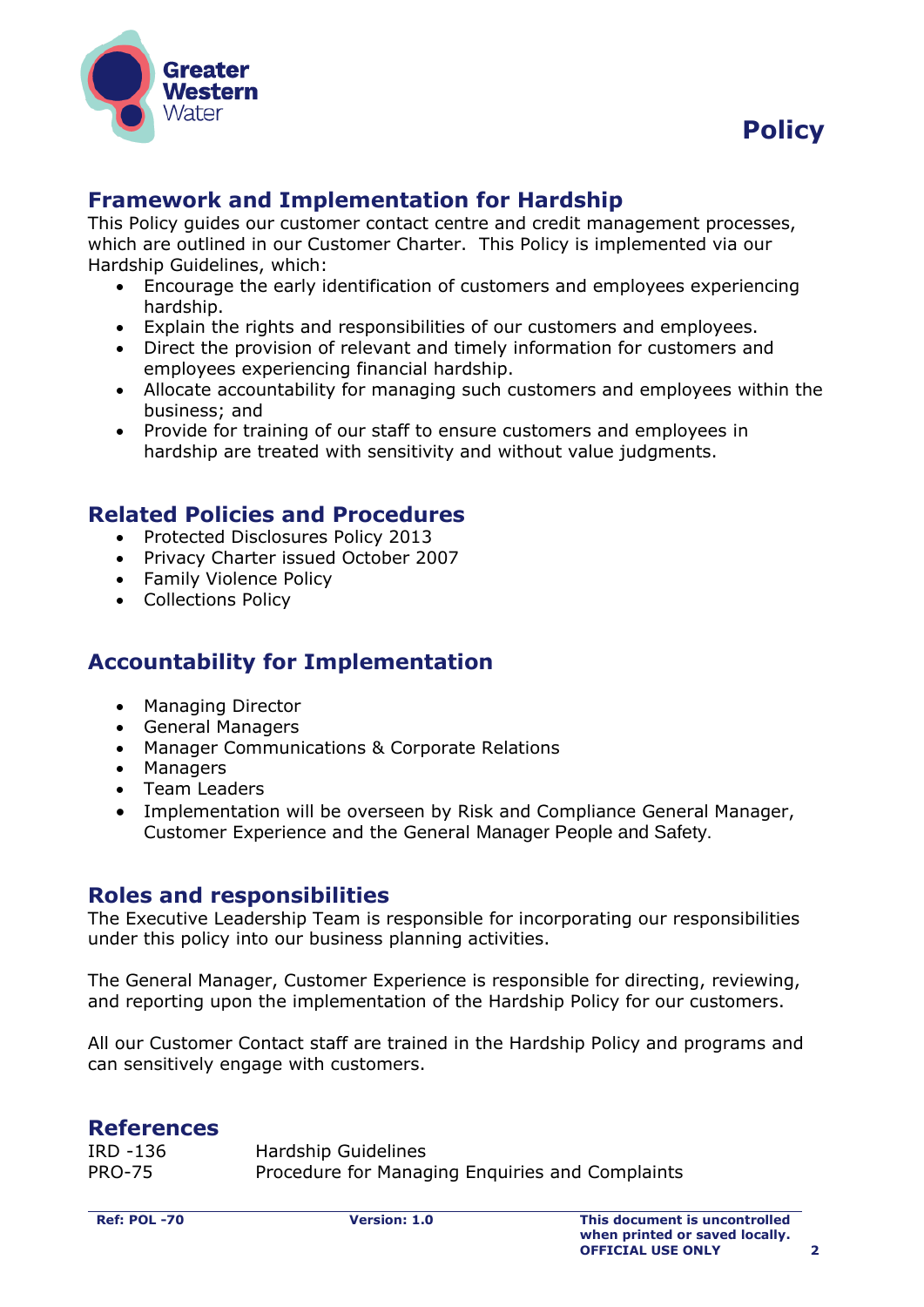



## **Framework and Implementation for Hardship**

This Policy guides our customer contact centre and credit management processes, which are outlined in our Customer Charter. This Policy is implemented via our Hardship Guidelines, which:

- Encourage the early identification of customers and employees experiencing hardship.
- Explain the rights and responsibilities of our customers and employees.
- Direct the provision of relevant and timely information for customers and employees experiencing financial hardship.
- Allocate accountability for managing such customers and employees within the business; and
- Provide for training of our staff to ensure customers and employees in hardship are treated with sensitivity and without value judgments.

#### **Related Policies and Procedures**

- Protected Disclosures Policy 2013
- Privacy Charter issued October 2007
- Family Violence Policy
- Collections Policy

## **Accountability for Implementation**

- Managing Director
- General Managers
- Manager Communications & Corporate Relations
- Managers
- Team Leaders
- Implementation will be overseen by Risk and Compliance General Manager, Customer Experience and the General Manager People and Safety.

#### **Roles and responsibilities**

The Executive Leadership Team is responsible for incorporating our responsibilities under this policy into our business planning activities.

The General Manager, Customer Experience is responsible for directing, reviewing, and reporting upon the implementation of the Hardship Policy for our customers.

All our Customer Contact staff are trained in the Hardship Policy and programs and can sensitively engage with customers.

#### **References**

| IRD -136      | Hardship Guidelines                             |
|---------------|-------------------------------------------------|
| <b>PRO-75</b> | Procedure for Managing Enquiries and Complaints |